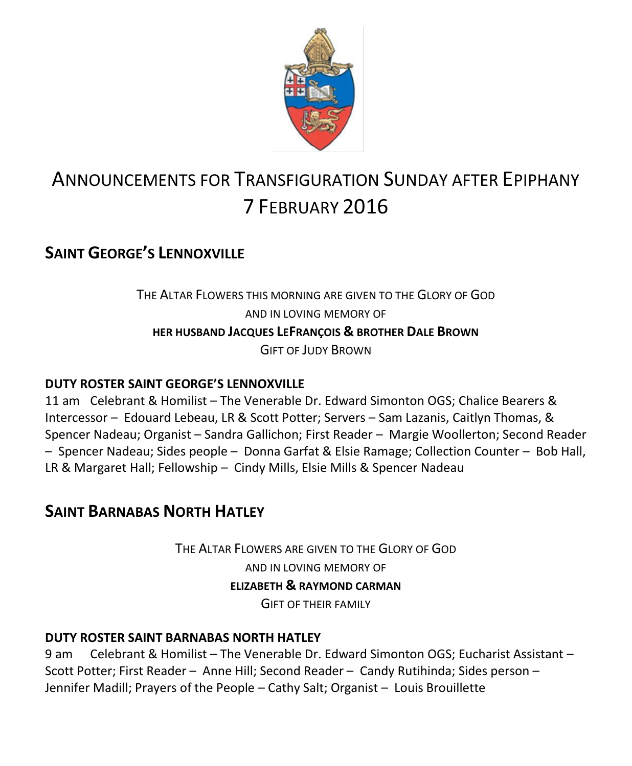

# ANNOUNCEMENTS FOR TRANSFIGURATION SUNDAY AFTER EPIPHANY 7 FEBRUARY 2016

## **SAINT GEORGE'S LENNOXVILLE**

### THE ALTAR FLOWERS THIS MORNING ARE GIVEN TO THE GLORY OF GOD AND IN LOVING MEMORY OF **HER HUSBAND JACQUES LEFRANÇOIS & BROTHER DALE BROWN** GIFT OF JUDY BROWN

#### **DUTY ROSTER SAINT GEORGE'S LENNOXVILLE**

11 am Celebrant & Homilist – The Venerable Dr. Edward Simonton OGS; Chalice Bearers & Intercessor – Edouard Lebeau, LR & Scott Potter; Servers – Sam Lazanis, Caitlyn Thomas, & Spencer Nadeau; Organist – Sandra Gallichon; First Reader – Margie Woollerton; Second Reader – Spencer Nadeau; Sides people – Donna Garfat & Elsie Ramage; Collection Counter – Bob Hall, LR & Margaret Hall; Fellowship – Cindy Mills, Elsie Mills & Spencer Nadeau

## **SAINT BARNABAS NORTH HATLEY**

THE ALTAR FLOWERS ARE GIVEN TO THE GLORY OF GOD AND IN LOVING MEMORY OF **ELIZABETH & RAYMOND CARMAN** GIFT OF THEIR FAMILY

#### **DUTY ROSTER SAINT BARNABAS NORTH HATLEY**

9 am Celebrant & Homilist – The Venerable Dr. Edward Simonton OGS; Eucharist Assistant – Scott Potter; First Reader – Anne Hill; Second Reader – Candy Rutihinda; Sides person – Jennifer Madill; Prayers of the People – Cathy Salt; Organist – Louis Brouillette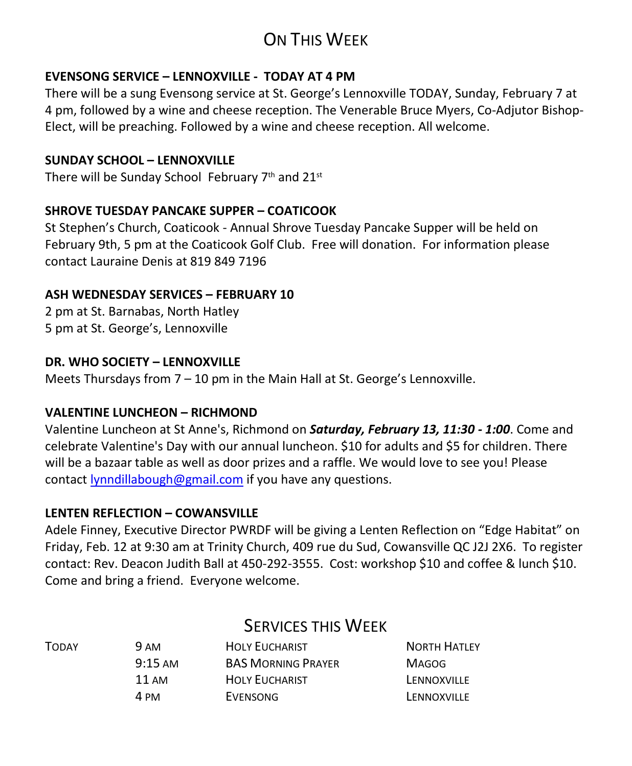## ON THIS WEEK

#### **EVENSONG SERVICE – LENNOXVILLE - TODAY AT 4 PM**

There will be a sung Evensong service at St. George's Lennoxville TODAY, Sunday, February 7 at 4 pm, followed by a wine and cheese reception. The Venerable Bruce Myers, Co-Adjutor Bishop-Elect, will be preaching. Followed by a wine and cheese reception. All welcome.

#### **SUNDAY SCHOOL – LENNOXVILLE**

There will be Sunday School February 7<sup>th</sup> and 21<sup>st</sup>

#### **SHROVE TUESDAY PANCAKE SUPPER – COATICOOK**

St Stephen's Church, Coaticook - Annual Shrove Tuesday Pancake Supper will be held on February 9th, 5 pm at the Coaticook Golf Club. Free will donation. For information please contact Lauraine Denis at 819 849 7196

#### **ASH WEDNESDAY SERVICES – FEBRUARY 10**

2 pm at St. Barnabas, North Hatley 5 pm at St. George's, Lennoxville

#### **DR. WHO SOCIETY – LENNOXVILLE**

Meets Thursdays from 7 – 10 pm in the Main Hall at St. George's Lennoxville.

#### **VALENTINE LUNCHEON – RICHMOND**

Valentine Luncheon at St Anne's, Richmond on *Saturday, February 13, 11:30 - 1:00*. Come and celebrate Valentine's Day with our annual luncheon. \$10 for adults and \$5 for children. There will be a bazaar table as well as door prizes and a raffle. We would love to see you! Please contact [lynndillabough@gmail.com](https://webmail.ubishops.ca/owa/redir.aspx?SURL=6EKhRTHO4Pt53kSq4KbOJzArWwaL-MOrqXB8mETx9o-9E0EidRfTCG0AYQBpAGwAdABvADoAbAB5AG4AbgBkAGkAbABsAGEAYgBvAHUAZwBoAEAAZwBtAGEAaQBsAC4AYwBvAG0A&URL=mailto%3alynndillabough%40gmail.com) if you have any questions.

#### **LENTEN REFLECTION – COWANSVILLE**

Adele Finney, Executive Director PWRDF will be giving a Lenten Reflection on "Edge Habitat" on Friday, Feb. 12 at 9:30 am at Trinity Church, 409 rue du Sud, Cowansville QC J2J 2X6. To register contact: Rev. Deacon Judith Ball at 450-292-3555. Cost: workshop \$10 and coffee & lunch \$10. Come and bring a friend. Everyone welcome.

|       | <b>SERVICES THIS WEEK</b> |                           |                     |  |
|-------|---------------------------|---------------------------|---------------------|--|
| TODAY | 9 AM                      | <b>HOLY EUCHARIST</b>     | <b>NORTH HATLEY</b> |  |
|       | $9:15 \text{ AM}$         | <b>BAS MORNING PRAYER</b> | <b>MAGOG</b>        |  |
|       | $11 \text{ AM}$           | <b>HOLY EUCHARIST</b>     | LENNOXVILLE         |  |
|       | 4 PM                      | EVENSONG                  | LENNOXVILLE         |  |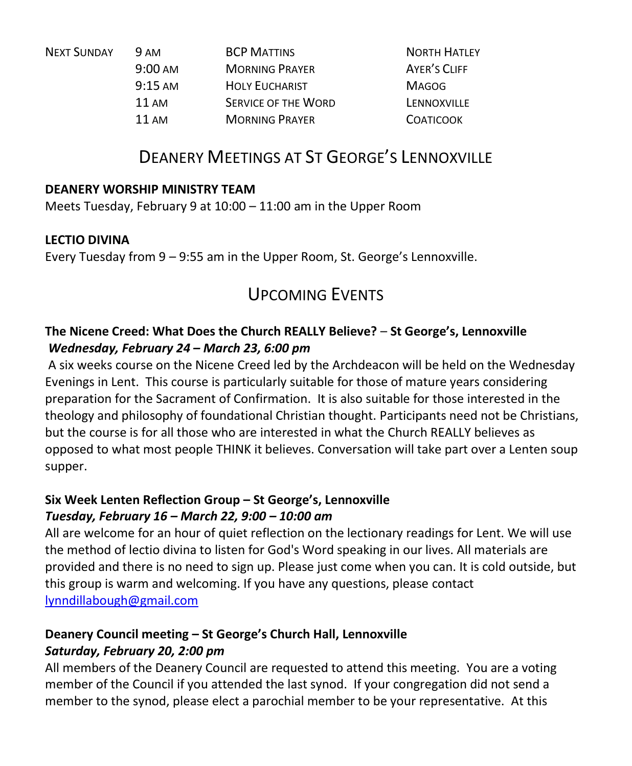| <b>9 AM</b>       | <b>BCP MATTINS</b>         | <b>NORTH HATLEY</b> |
|-------------------|----------------------------|---------------------|
| $9:00 \text{ AM}$ | <b>MORNING PRAYER</b>      | <b>AYER'S CLIFF</b> |
| $9:15 \text{ AM}$ | <b>HOLY EUCHARIST</b>      | <b>MAGOG</b>        |
| $11 \text{ AM}$   | <b>SERVICE OF THE WORD</b> | LENNOXVILLE         |
| $11 \text{ AM}$   | <b>MORNING PRAYER</b>      | <b>COATICOOK</b>    |
|                   |                            |                     |

## DEANERY MEETINGS AT ST GEORGE'S LENNOXVILLE

#### **DEANERY WORSHIP MINISTRY TEAM**

Meets Tuesday, February 9 at 10:00 – 11:00 am in the Upper Room

#### **LECTIO DIVINA**

Every Tuesday from 9 – 9:55 am in the Upper Room, St. George's Lennoxville.

## UPCOMING EVENTS

#### **The Nicene Creed: What Does the Church REALLY Believe?** – **St George's, Lennoxville** *Wednesday, February 24 – March 23, 6:00 pm*

A six weeks course on the Nicene Creed led by the Archdeacon will be held on the Wednesday Evenings in Lent. This course is particularly suitable for those of mature years considering preparation for the Sacrament of Confirmation. It is also suitable for those interested in the theology and philosophy of foundational Christian thought. Participants need not be Christians, but the course is for all those who are interested in what the Church REALLY believes as opposed to what most people THINK it believes. Conversation will take part over a Lenten soup supper.

#### **Six Week Lenten Reflection Group – St George's, Lennoxville**  *Tuesday, February 16 – March 22, 9:00 – 10:00 am*

All are welcome for an hour of quiet reflection on the lectionary readings for Lent. We will use the method of lectio divina to listen for God's Word speaking in our lives. All materials are provided and there is no need to sign up. Please just come when you can. It is cold outside, but this group is warm and welcoming. If you have any questions, please contact [lynndillabough@gmail.com](https://webmail.ubishops.ca/owa/redir.aspx?SURL=gJAaQmXdJrAJmmsLIUsCBnpsgFgooUUINemiAuOcj2MA77Qn_yfTCG0AYQBpAGwAdABvADoAbAB5AG4AbgBkAGkAbABsAGEAYgBvAHUAZwBoAEAAZwBtAGEAaQBsAC4AYwBvAG0A&URL=mailto%3alynndillabough%40gmail.com) 

### **Deanery Council meeting – St George's Church Hall, Lennoxville**

#### *Saturday, February 20, 2:00 pm*

All members of the Deanery Council are requested to attend this meeting. You are a voting member of the Council if you attended the last synod. If your congregation did not send a member to the synod, please elect a parochial member to be your representative. At this